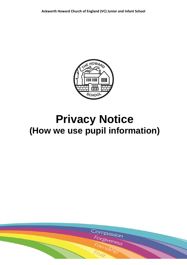

# **Privacy Notice (How we use pupil information)**

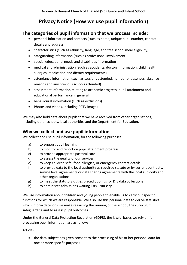# **Privacy Notice (How we use pupil information)**

# **The categories of pupil information that we process include:**

- personal information and contacts (such as name, unique pupil number, contact details and address)
- characteristics (such as ethnicity, language, and free school meal eligibility)
- safeguarding information (such as professional involvement)
- special educational needs and disabilities information
- medical and administration (such as accidents, doctors information, child health, allergies, medication and dietary requirements)
- attendance information (such as sessions attended, number of absences, absence reasons and any previous schools attended)
- assessment information relating to academic progress, pupil attainment and educational performance in general
- behavioural information (such as exclusions)
- Photos and videos, including CCTV images

We may also hold data about pupils that we have received from other organisations, including other schools, local authorities and the Department for Education.

# **Why we collect and use pupil information**

We collect and use pupil information, for the following purposes:

- a) to support pupil learning
- b) to monitor and report on pupil attainment progress
- c) to provide appropriate pastoral care
- d) to assess the quality of our services
- e) to keep children safe (food allergies, or emergency contact details)
- f) to provide data to the local authority as required statute or by current contracts, service level agreements or data sharing agreements with the local authority and other organisations.
- g) to meet the statutory duties placed upon us for DfE data collections
- h) to administer admissions waiting lists Nursery

We use information about children and young people to enable us to carry out specific functions for which we are responsible. We also use this personal data to derive statistics which inform decisions we make regarding the running of the school, the curriculum, safeguarding and to assess pupil outcomes.

Under the General Data Protection Regulation (GDPR), the lawful bases we rely on for processing pupil information are as follows:

Article 6:

 the data subject has given consent to the processing of his or her personal data for one or more specific purposes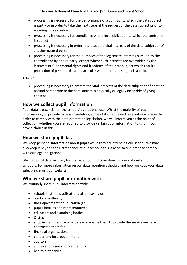#### **Ackworth Howard Church of England (VC) Junior and Infant School**

- processing is necessary for the performance of a contract to which the data subject is partly or in order to take the next steps at the request of the data subject prior to entering into a contract
- processing is necessary for compliance with a legal obligation to which the controller is subject
- processing is necessary in order to protect the vital interests of the data subject or of another natural person
- processing is necessary for the purposes of the legitimate interests pursued by the controller or by a third party, except where such interests are overridden by the interests or fundamental rights and freedoms of the data subject which require protection of personal data, in particular where the data subject is a child.

Article 9:

 processing is necessary to protect the vital interests of the data subject or of another natural person where the data subject is physically or legally incapable of giving consent

#### **How we collect pupil information**

Pupil data is essential for the schools' operational use. Whilst the majority of pupil information you provide to us is mandatory, some of it is requested on a voluntary basis. In order to comply with the data protection legislation, we will inform you at the point of collection, whether you are required to provide certain pupil information to us or if you have a choice in this.

#### **How we store pupil data**

We keep personal information about pupils while they are attending our school. We may also keep it beyond their attendance at our school if this is necessary in order to comply with our legal obligations.

We hold pupil data securely for the set amount of time shown in our data retention schedule. For more information on our data retention schedule and how we keep your data safe, please visit our website.

# **Who we share pupil information with**

We routinely share pupil information with:

- schools that the pupils attend after leaving us
- our local authority
- the Department for Education (DfE)
- pupils families and representatives
- educators and examining bodies
- Ofsted
- $\bullet$  suppliers and service providers to enable them to provide the service we have contracted them for
- financial organisations
- central and local government
- auditors
- survey and research organisations
- health authorities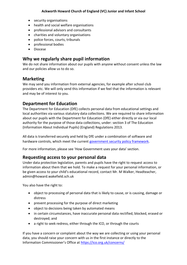- security organisations
- health and social welfare organisations
- professional advisors and consultants
- charities and voluntary organisations
- police forces, courts, tribunals
- professional bodies
- Diocese

# **Why we regularly share pupil information**

We do not share information about our pupils with anyone without consent unless the law and our policies allow us to do so.

#### **Marketing**

We may send you information from external agencies, for example after school club providers etc. We will only send this information if we feel that the information is relevant and may be of interest to you.

# **Department for Education**

The Department for Education (DfE) collects personal data from educational settings and local authorities via various statutory data collections. We are required to share information about our pupils with the Department for Education (DfE) either directly or via our local authority for the purpose of those data collections, under: section 3 of The Education (Information About Individual Pupils) (England) Regulations 2013.

All data is transferred securely and held by DfE under a combination of software and hardware controls, which meet the current [government security policy framework.](https://www.gov.uk/government/publications/security-policy-framework)

For more information, please see 'How Government uses your data' section.

# **Requesting access to your personal data**

Under data protection legislation, parents and pupils have the right to request access to information about them that we hold. To make a request for your personal information, or be given access to your child's educational record, contact Mr. M Walker, Headteacher, admin@howard.wakefield.sch.uk

You also have the right to:

- object to processing of personal data that is likely to cause, or is causing, damage or distress
- prevent processing for the purpose of direct marketing
- object to decisions being taken by automated means
- in certain circumstances, have inaccurate personal data rectified, blocked, erased or destroyed; and
- a right to seek redress, either through the ICO, or through the courts

If you have a concern or complaint about the way we are collecting or using your personal data, you should raise your concern with us in the first instance or directly to the Information Commissioner's Office at <https://ico.org.uk/concerns/>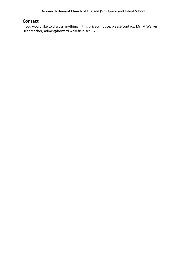# **Contact**

If you would like to discuss anything in this privacy notice, please contact: Mr. M Walker, Headteacher, admin@howard.wakefield.sch.uk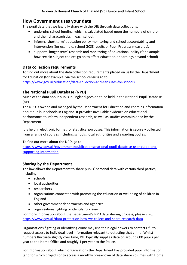# **How Government uses your data**

The pupil data that we lawfully share with the DfE through data collections:

- underpins school funding, which is calculated based upon the numbers of children and their characteristics in each school.
- informs 'short term' education policy monitoring and school accountability and intervention (for example, school GCSE results or Pupil Progress measures).
- supports 'longer term' research and monitoring of educational policy (for example how certain subject choices go on to affect education or earnings beyond school)

#### **Data collection requirements**

To find out more about the data collection requirements placed on us by the Department for Education (for example; via the school census) go to

<https://www.gov.uk/education/data-collection-and-censuses-for-schools>

# **The National Pupil Database (NPD)**

Much of the data about pupils in England goes on to be held in the National Pupil Database (NPD).

The NPD is owned and managed by the Department for Education and contains information about pupils in schools in England. It provides invaluable evidence on educational performance to inform independent research, as well as studies commissioned by the Department.

It is held in electronic format for statistical purposes. This information is securely collected from a range of sources including schools, local authorities and awarding bodies.

To find out more about the NPD, go to

[https://www.gov.uk/government/publications/national-pupil-database-user-guide-and](https://www.gov.uk/government/publications/national-pupil-database-user-guide-and-supporting-information)[supporting-information](https://www.gov.uk/government/publications/national-pupil-database-user-guide-and-supporting-information)

# **Sharing by the Department**

The law allows the Department to share pupils' personal data with certain third parties, including:

- schools
- local authorities
- researchers
- organisations connected with promoting the education or wellbeing of children in England
- other government departments and agencies
- organisations fighting or identifying crime

For more information about the Department's NPD data sharing process, please visit: <https://www.gov.uk/data-protection-how-we-collect-and-share-research-data>

Organisations fighting or identifying crime may use their legal powers to contact DfE to request access to individual level information relevant to detecting that crime. Whilst numbers fluctuate slightly over time, DfE typically supplies data on around 600 pupils per year to the Home Office and roughly 1 per year to the Police.

For information about which organisations the Department has provided pupil information, (and for which project) or to access a monthly breakdown of data share volumes with Home